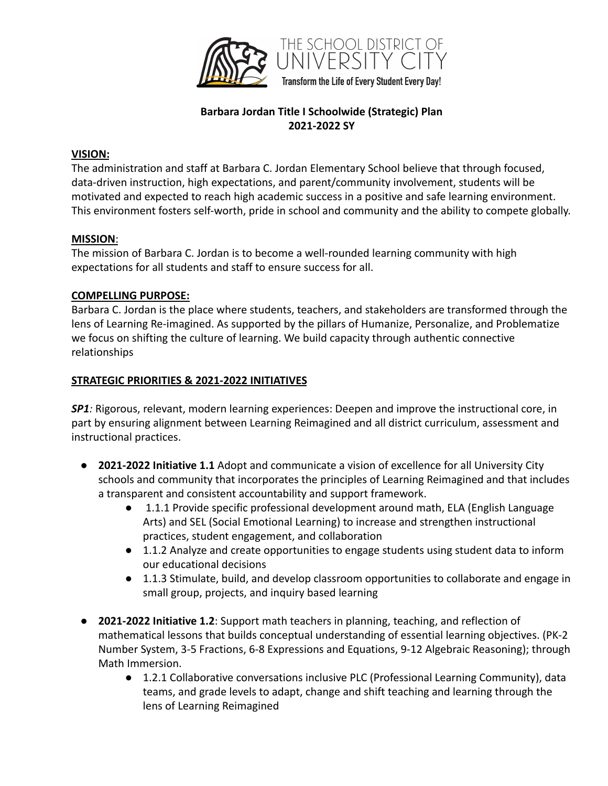

# **Barbara Jordan Title I Schoolwide (Strategic) Plan 2021-2022 SY**

#### **VISION:**

The administration and staff at Barbara C. Jordan Elementary School believe that through focused, data-driven instruction, high expectations, and parent/community involvement, students will be motivated and expected to reach high academic success in a positive and safe learning environment. This environment fosters self-worth, pride in school and community and the ability to compete globally.

### **MISSION**:

The mission of Barbara C. Jordan is to become a well-rounded learning community with high expectations for all students and staff to ensure success for all.

### **COMPELLING PURPOSE:**

Barbara C. Jordan is the place where students, teachers, and stakeholders are transformed through the lens of Learning Re-imagined. As supported by the pillars of Humanize, Personalize, and Problematize we focus on shifting the culture of learning. We build capacity through authentic connective relationships

### **STRATEGIC PRIORITIES & 2021-2022 INITIATIVES**

**SP1***:* Rigorous, relevant, modern learning experiences: Deepen and improve the instructional core, in part by ensuring alignment between Learning Reimagined and all district curriculum, assessment and instructional practices.

- **2021-2022 Initiative 1.1** Adopt and communicate a vision of excellence for all University City schools and community that incorporates the principles of Learning Reimagined and that includes a transparent and consistent accountability and support framework.
	- 1.1.1 Provide specific professional development around math, ELA (English Language Arts) and SEL (Social Emotional Learning) to increase and strengthen instructional practices, student engagement, and collaboration
	- 1.1.2 Analyze and create opportunities to engage students using student data to inform our educational decisions
	- 1.1.3 Stimulate, build, and develop classroom opportunities to collaborate and engage in small group, projects, and inquiry based learning
- **2021-2022 Initiative 1.2**: Support math teachers in planning, teaching, and reflection of mathematical lessons that builds conceptual understanding of essential learning objectives. (PK-2 Number System, 3-5 Fractions, 6-8 Expressions and Equations, 9-12 Algebraic Reasoning); through Math Immersion.
	- 1.2.1 Collaborative conversations inclusive PLC (Professional Learning Community), data teams, and grade levels to adapt, change and shift teaching and learning through the lens of Learning Reimagined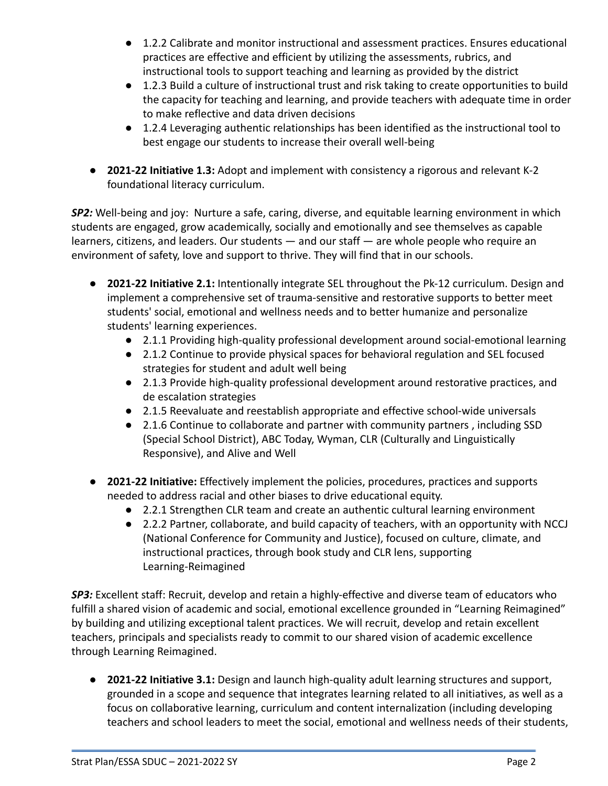- 1.2.2 Calibrate and monitor instructional and assessment practices. Ensures educational practices are effective and efficient by utilizing the assessments, rubrics, and instructional tools to support teaching and learning as provided by the district
- 1.2.3 Build a culture of instructional trust and risk taking to create opportunities to build the capacity for teaching and learning, and provide teachers with adequate time in order to make reflective and data driven decisions
- 1.2.4 Leveraging authentic relationships has been identified as the instructional tool to best engage our students to increase their overall well-being
- **2021-22 Initiative 1.3:** Adopt and implement with consistency a rigorous and relevant K-2 foundational literacy curriculum.

*SP2:* Well-being and joy: Nurture a safe, caring, diverse, and equitable learning environment in which students are engaged, grow academically, socially and emotionally and see themselves as capable learners, citizens, and leaders. Our students — and our staff — are whole people who require an environment of safety, love and support to thrive. They will find that in our schools.

- **2021-22 Initiative 2.1:** Intentionally integrate SEL throughout the Pk-12 curriculum. Design and implement a comprehensive set of trauma-sensitive and restorative supports to better meet students' social, emotional and wellness needs and to better humanize and personalize students' learning experiences.
	- 2.1.1 Providing high-quality professional development around social-emotional learning
	- 2.1.2 Continue to provide physical spaces for behavioral regulation and SEL focused strategies for student and adult well being
	- 2.1.3 Provide high-quality professional development around restorative practices, and de escalation strategies
	- 2.1.5 Reevaluate and reestablish appropriate and effective school-wide universals
	- 2.1.6 Continue to collaborate and partner with community partners , including SSD (Special School District), ABC Today, Wyman, CLR (Culturally and Linguistically Responsive), and Alive and Well
- **2021-22 Initiative:** Effectively implement the policies, procedures, practices and supports needed to address racial and other biases to drive educational equity.
	- 2.2.1 Strengthen CLR team and create an authentic cultural learning environment
	- 2.2.2 Partner, collaborate, and build capacity of teachers, with an opportunity with NCCJ (National Conference for Community and Justice), focused on culture, climate, and instructional practices, through book study and CLR lens, supporting Learning-Reimagined

*SP3:* Excellent staff: Recruit, develop and retain a highly-effective and diverse team of educators who fulfill a shared vision of academic and social, emotional excellence grounded in "Learning Reimagined" by building and utilizing exceptional talent practices. We will recruit, develop and retain excellent teachers, principals and specialists ready to commit to our shared vision of academic excellence through Learning Reimagined.

● **2021-22 Initiative 3.1:** Design and launch high-quality adult learning structures and support, grounded in a scope and sequence that integrates learning related to all initiatives, as well as a focus on collaborative learning, curriculum and content internalization (including developing teachers and school leaders to meet the social, emotional and wellness needs of their students,